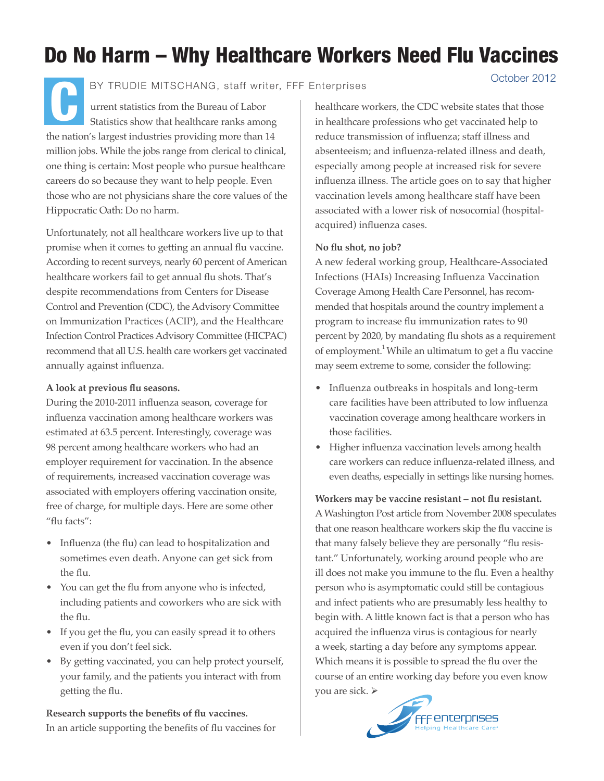# Do No Harm – Why Healthcare Workers Need Flu Vaccines

C October 2012 BY TRUDIE MITSCHANG, staff writer, FFF Enterprises

urrent statistics from the Bureau of Labor Statistics show that healthcare ranks among the nation's largest industries providing more than 14 million jobs. While the jobs range from clerical to clinical, one thing is certain: Most people who pursue healthcare careers do so because they want to help people. Even those who are not physicians share the core values of the Hippocratic Oath: Do no harm.

Unfortunately, not all healthcare workers live up to that promise when it comes to getting an annual flu vaccine. According to recent surveys, nearly 60 percent of American healthcare workers fail to get annual flu shots. That's despite recommendations from Centers for Disease Control and Prevention (CDC), the Advisory Committee on Immunization Practices (ACIP), and the Healthcare Infection Control Practices Advisory Committee (HICPAC) recommend that all U.S. health care workers get vaccinated annually against influenza.

### **A look at previous flu seasons.**

During the 2010-2011 influenza season, coverage for influenza vaccination among healthcare workers was estimated at 63.5 percent. Interestingly, coverage was 98 percent among healthcare workers who had an employer requirement for vaccination. In the absence of requirements, increased vaccination coverage was associated with employers offering vaccination onsite, free of charge, for multiple days. Here are some other "flu facts":

- Influenza (the flu) can lead to hospitalization and sometimes even death. Anyone can get sick from the flu.
- You can get the flu from anyone who is infected, including patients and coworkers who are sick with the flu.
- If you get the flu, you can easily spread it to others even if you don't feel sick.
- By getting vaccinated, you can help protect yourself, your family, and the patients you interact with from getting the flu.

**Research supports the benefits of flu vaccines.** In an article supporting the benefits of flu vaccines for healthcare workers, the CDC website states that those in healthcare professions who get vaccinated help to reduce transmission of influenza; staff illness and absenteeism; and influenza-related illness and death, especially among people at increased risk for severe influenza illness. The article goes on to say that higher vaccination levels among healthcare staff have been associated with a lower risk of nosocomial (hospitalacquired) influenza cases.

## **No flu shot, no job?**

A new federal working group, Healthcare-Associated Infections (HAIs) Increasing Influenza Vaccination Coverage Among Health Care Personnel, has recommended that hospitals around the country implement a program to increase flu immunization rates to 90 percent by 2020, by mandating flu shots as a requirement of employment.<sup>1</sup> While an ultimatum to get a flu vaccine may seem extreme to some, consider the following:

- Influenza outbreaks in hospitals and long-term care facilities have been attributed to low influenza vaccination coverage among healthcare workers in those facilities.
- Higher influenza vaccination levels among health care workers can reduce influenza-related illness, and even deaths, especially in settings like nursing homes.

**Workers may be vaccine resistant – not flu resistant.** A Washington Post article from November 2008 speculates that one reason healthcare workers skip the flu vaccine is that many falsely believe they are personally "flu resistant." Unfortunately, working around people who are ill does not make you immune to the flu. Even a healthy person who is asymptomatic could still be contagious and infect patients who are presumably less healthy to begin with. A little known fact is that a person who has acquired the influenza virus is contagious for nearly a week, starting a day before any symptoms appear. Which means it is possible to spread the flu over the course of an entire working day before you even know you are sick.